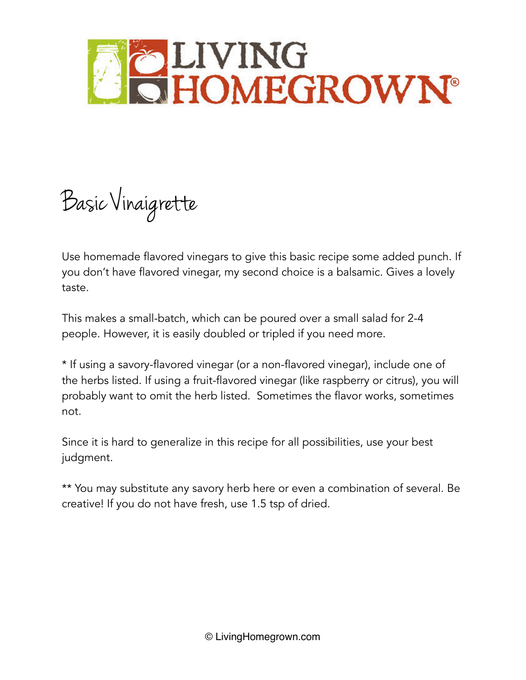

Basic Vinaigrette

Use homemade flavored vinegars to give this basic recipe some added punch. If you don't have flavored vinegar, my second choice is a balsamic. Gives a lovely taste.

This makes a small-batch, which can be poured over a small salad for 2-4 people. However, it is easily doubled or tripled if you need more.

\* If using a savory-flavored vinegar (or a non-flavored vinegar), include one of the herbs listed. If using a fruit-flavored vinegar (like raspberry or citrus), you will probably want to omit the herb listed. Sometimes the flavor works, sometimes not.

Since it is hard to generalize in this recipe for all possibilities, use your best judgment.

\*\* You may substitute any savory herb here or even a combination of several. Be creative! If you do not have fresh, use 1.5 tsp of dried.